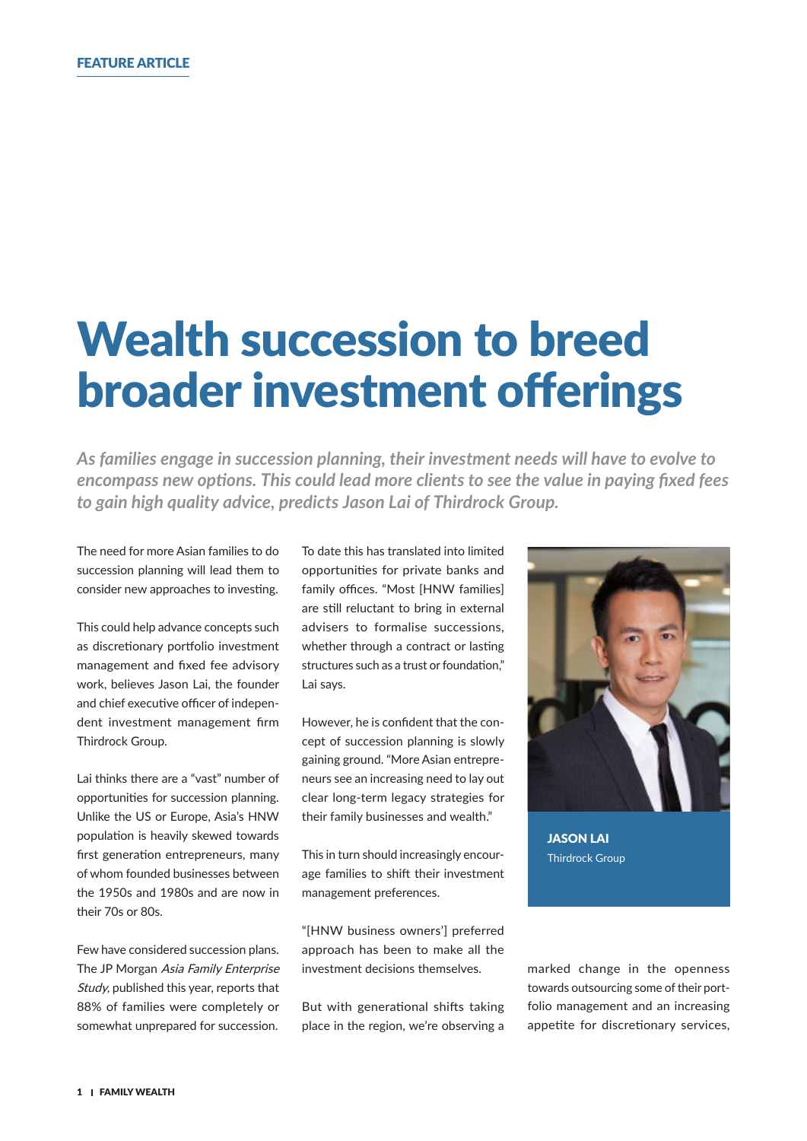## Wealth succession to breed broader investment offerings

*As families engage in succession planning, their investment needs will have to evolve to encompass new options. This could lead more clients to see the value in paying fixed fees to gain high quality advice, predicts Jason Lai of Thirdrock Group.*

The need for more Asian families to do succession planning will lead them to consider new approaches to investing.

This could help advance concepts such as discretionary portfolio investment management and fixed fee advisory work, believes Jason Lai, the founder and chief executive officer of independent investment management firm Thirdrock Group.

Lai thinks there are a "vast" number of opportunities for succession planning. Unlike the US or Europe, Asia's HNW population is heavily skewed towards first generation entrepreneurs, many of whom founded businesses between the 1950s and 1980s and are now in their 70s or 80s.

Few have considered succession plans. The JP Morgan Asia Family Enterprise Study, published this year, reports that 88% of families were completely or somewhat unprepared for succession.

To date this has translated into limited opportunities for private banks and family offices. "Most [HNW families] are still reluctant to bring in external advisers to formalise successions, whether through a contract or lasting structures such as a trust or foundation," Lai says.

However, he is confident that the concept of succession planning is slowly gaining ground. "More Asian entrepreneurs see an increasing need to lay out clear long-term legacy strategies for their family businesses and wealth."

This in turn should increasingly encourage families to shift their investment management preferences.

"[HNW business owners'] preferred approach has been to make all the investment decisions themselves.

But with generational shifts taking place in the region, we're observing a



JASON LAI Thirdrock Group

marked change in the openness towards outsourcing some of their portfolio management and an increasing appetite for discretionary services,